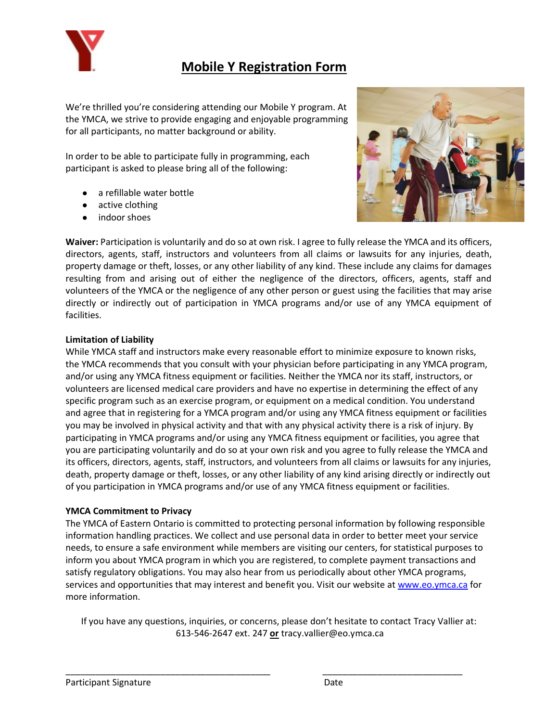

## **Mobile Y Registration Form**

We're thrilled you're considering attending our Mobile Y program. At the YMCA, we strive to provide engaging and enjoyable programming for all participants, no matter background or ability.

In order to be able to participate fully in programming, each participant is asked to please bring all of the following:

- a refillable water bottle
- active clothing
- indoor shoes



**Waiver:** Participation is voluntarily and do so at own risk. I agree to fully release the YMCA and its officers, directors, agents, staff, instructors and volunteers from all claims or lawsuits for any injuries, death, property damage or theft, losses, or any other liability of any kind. These include any claims for damages resulting from and arising out of either the negligence of the directors, officers, agents, staff and volunteers of the YMCA or the negligence of any other person or guest using the facilities that may arise directly or indirectly out of participation in YMCA programs and/or use of any YMCA equipment of facilities.

#### **Limitation of Liability**

While YMCA staff and instructors make every reasonable effort to minimize exposure to known risks, the YMCA recommends that you consult with your physician before participating in any YMCA program, and/or using any YMCA fitness equipment or facilities. Neither the YMCA nor its staff, instructors, or volunteers are licensed medical care providers and have no expertise in determining the effect of any specific program such as an exercise program, or equipment on a medical condition. You understand and agree that in registering for a YMCA program and/or using any YMCA fitness equipment or facilities you may be involved in physical activity and that with any physical activity there is a risk of injury. By participating in YMCA programs and/or using any YMCA fitness equipment or facilities, you agree that you are participating voluntarily and do so at your own risk and you agree to fully release the YMCA and its officers, directors, agents, staff, instructors, and volunteers from all claims or lawsuits for any injuries, death, property damage or theft, losses, or any other liability of any kind arising directly or indirectly out of you participation in YMCA programs and/or use of any YMCA fitness equipment or facilities.

### **YMCA Commitment to Privacy**

The YMCA of Eastern Ontario is committed to protecting personal information by following responsible information handling practices. We collect and use personal data in order to better meet your service needs, to ensure a safe environment while members are visiting our centers, for statistical purposes to inform you about YMCA program in which you are registered, to complete payment transactions and satisfy regulatory obligations. You may also hear from us periodically about other YMCA programs, services and opportunities that may interest and benefit you. Visit our website a[t www.eo.ymca.ca](http://www.eo.ymca.ca/) for more information.

If you have any questions, inquiries, or concerns, please don't hesitate to contact Tracy Vallier at: 613-546-2647 ext. 247 **or** [tracy.vallier@eo.ymca.ca](mailto:tracy.vallier@eo.ymca.ca)

\_\_\_\_\_\_\_\_\_\_\_\_\_\_\_\_\_\_\_\_\_\_\_\_\_\_\_\_\_\_\_\_\_\_\_\_\_\_\_\_\_ \_\_\_\_\_\_\_\_\_\_\_\_\_\_\_\_\_\_\_\_\_\_\_\_\_\_\_\_